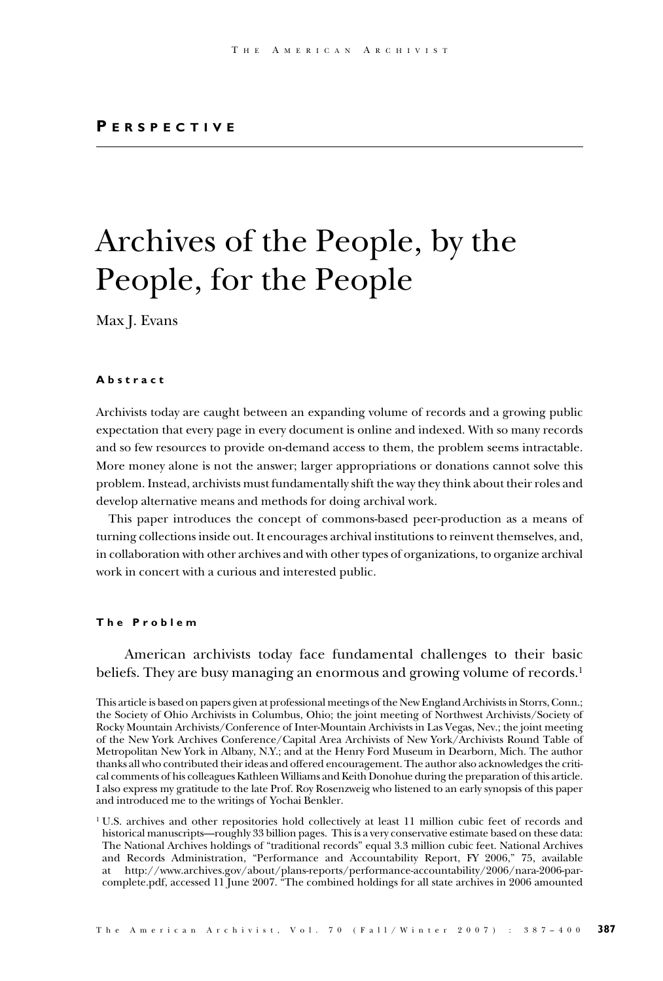# Archives of the People, by the People, for the People

Max J. Evans

#### **Abstract**

Archivists today are caught between an expanding volume of records and a growing public expectation that every page in every document is online and indexed. With so many records and so few resources to provide on-demand access to them, the problem seems intractable. More money alone is not the answer; larger appropriations or donations cannot solve this problem. Instead, archivists must fundamentally shift the way they think about their roles and develop alternative means and methods for doing archival work.

This paper introduces the concept of commons-based peer-production as a means of turning collections inside out. It encourages archival institutions to reinvent themselves, and, in collaboration with other archives and with other types of organizations, to organize archival work in concert with a curious and interested public.

## **The Problem**

American archivists today face fundamental challenges to their basic beliefs. They are busy managing an enormous and growing volume of records.<sup>1</sup>

This article is based on papers given at professional meetings of the New England Archivists in Storrs, Conn.; the Society of Ohio Archivists in Columbus, Ohio; the joint meeting of Northwest Archivists/Society of Rocky Mountain Archivists/Conference of Inter-Mountain Archivists in Las Vegas, Nev.; the joint meeting of the New York Archives Conference/Capital Area Archivists of New York/Archivists Round Table of Metropolitan New York in Albany, N.Y.; and at the Henry Ford Museum in Dearborn, Mich. The author thanks all who contributed their ideas and offered encouragement. The author also acknowledges the critical comments of his colleagues Kathleen Williams and Keith Donohue during the preparation of this article. I also express my gratitude to the late Prof. Roy Rosenzweig who listened to an early synopsis of this paper and introduced me to the writings of Yochai Benkler.

<sup>1</sup> U.S. archives and other repositories hold collectively at least 11 million cubic feet of records and historical manuscripts—roughly 33 billion pages. This is a very conservative estimate based on these data: The National Archives holdings of "traditional records" equal 3.3 million cubic feet. National Archives and Records Administration, "Performance and Accountability Report, FY 2006," 75, available at http://www.archives.gov/about/plans-reports/performance-accountability/2006/nara-2006-parcomplete.pdf, accessed 11 June 2007. "The combined holdings for all state archives in 2006 amounted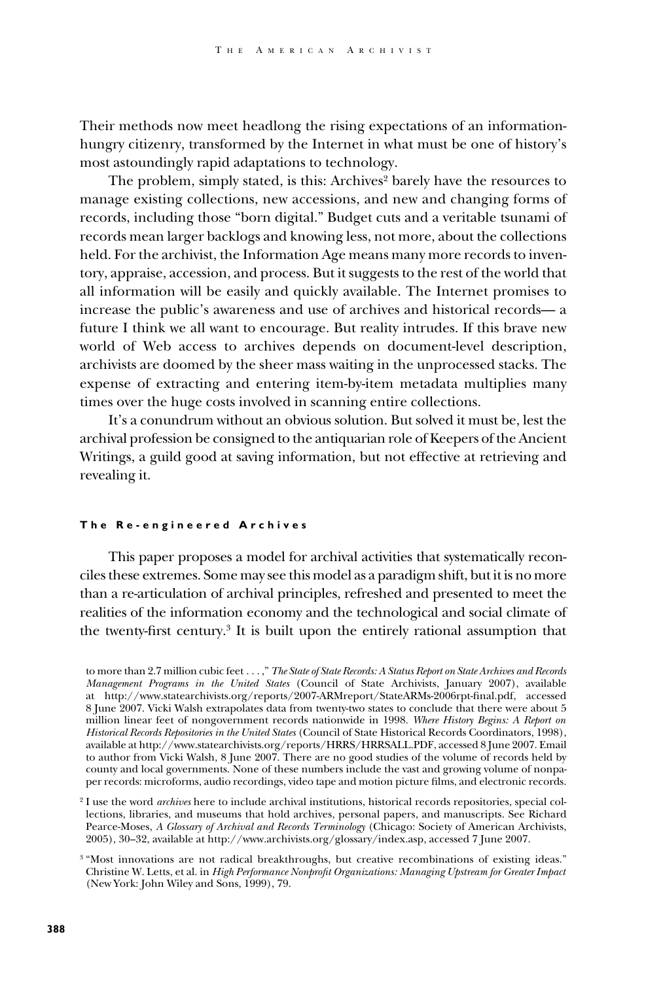Their methods now meet headlong the rising expectations of an informationhungry citizenry, transformed by the Internet in what must be one of history's most astoundingly rapid adaptations to technology.

The problem, simply stated, is this: Archives<sup>2</sup> barely have the resources to manage existing collections, new accessions, and new and changing forms of records, including those "born digital." Budget cuts and a veritable tsunami of records mean larger backlogs and knowing less, not more, about the collections held. For the archivist, the Information Age means many more records to inventory, appraise, accession, and process. But it suggests to the rest of the world that all information will be easily and quickly available. The Internet promises to increase the public's awareness and use of archives and historical records— a future I think we all want to encourage. But reality intrudes. If this brave new world of Web access to archives depends on document-level description, archivists are doomed by the sheer mass waiting in the unprocessed stacks. The expense of extracting and entering item-by-item metadata multiplies many times over the huge costs involved in scanning entire collections.

It's a conundrum without an obvious solution. But solved it must be, lest the archival profession be consigned to the antiquarian role of Keepers of the Ancient Writings, a guild good at saving information, but not effective at retrieving and revealing it.

## **The Re-engineered Archives**

This paper proposes a model for archival activities that systematically reconciles these extremes. Some may see this model as a paradigm shift, but it is no more than a re-articulation of archival principles, refreshed and presented to meet the realities of the information economy and the technological and social climate of the twenty-first century.3 It is built upon the entirely rational assumption that

to more than 2.7 million cubic feet . . . ," *The State of State Records: A Status Report on State Archives and Records Management Programs in the United States* (Council of State Archivists, January 2007), available at http://www.statearchivists.org/reports/2007-ARMreport/StateARMs-2006rpt-final.pdf, accessed 8 June 2007. Vicki Walsh extrapolates data from twenty-two states to conclude that there were about 5 million linear feet of nongovernment records nationwide in 1998. *Where History Begins: A Report on Historical Records Repositories in the United States* (Council of State Historical Records Coordinators, 1998), available at http://www.statearchivists.org/reports/HRRS/HRRSALL.PDF, accessed 8 June 2007. Email to author from Vicki Walsh, 8 June 2007. There are no good studies of the volume of records held by county and local governments. None of these numbers include the vast and growing volume of nonpaper records: microforms, audio recordings, video tape and motion picture films, and electronic records.

<sup>2</sup> I use the word *archives* here to include archival institutions, historical records repositories, special collections, libraries, and museums that hold archives, personal papers, and manuscripts. See Richard Pearce-Moses, *A Glossary of Archival and Records Terminology* (Chicago: Society of American Archivists, 2005), 30–32, available at http://www.archivists.org/glossary/index.asp, accessed 7 June 2007.

<sup>&</sup>lt;sup>3</sup> "Most innovations are not radical breakthroughs, but creative recombinations of existing ideas." Christine W. Letts, et al. in *High Performance Nonprofit Organizations: Managing Upstream for Greater Impact* (New York: John Wiley and Sons, 1999), 79.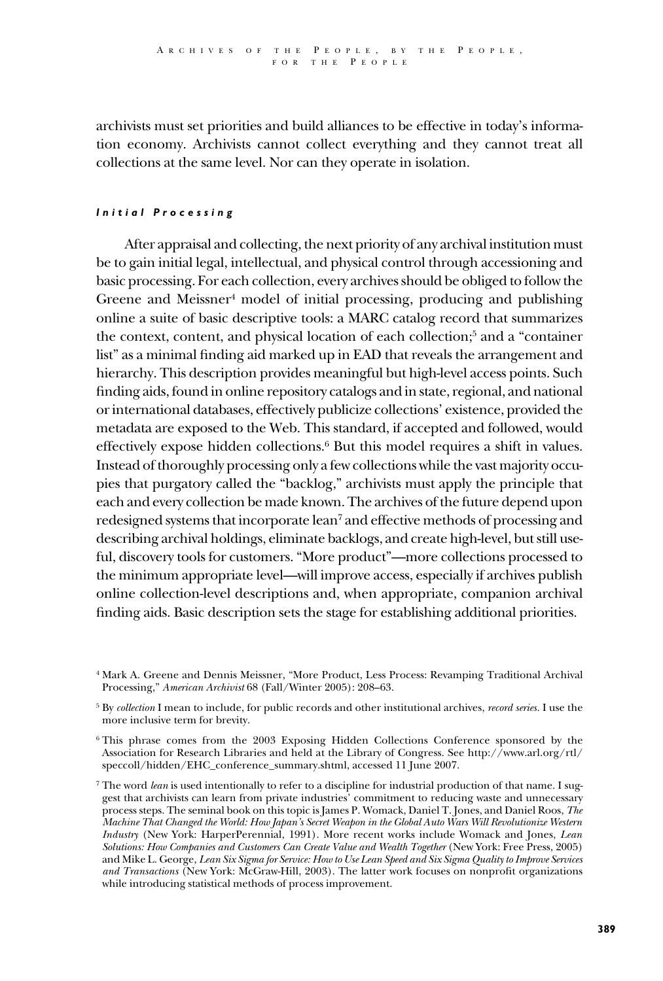archivists must set priorities and build alliances to be effective in today's information economy. Archivists cannot collect everything and they cannot treat all collections at the same level. Nor can they operate in isolation.

## *Initial Processing*

After appraisal and collecting, the next priority of any archival institution must be to gain initial legal, intellectual, and physical control through accessioning and basic processing. For each collection, every archives should be obliged to follow the Greene and Meissner<sup>4</sup> model of initial processing, producing and publishing online a suite of basic descriptive tools: a MARC catalog record that summarizes the context, content, and physical location of each collection;5 and a "container list" as a minimal finding aid marked up in EAD that reveals the arrangement and hierarchy. This description provides meaningful but high-level access points. Such finding aids, found in online repository catalogs and in state, regional, and national or international databases, effectively publicize collections' existence, provided the metadata are exposed to the Web. This standard, if accepted and followed, would effectively expose hidden collections.6 But this model requires a shift in values. Instead of thoroughly processing only a few collections while the vast majority occupies that purgatory called the "backlog," archivists must apply the principle that each and every collection be made known. The archives of the future depend upon redesigned systems that incorporate lean7 and effective methods of processing and describing archival holdings, eliminate backlogs, and create high-level, but still useful, discovery tools for customers. "More product"—more collections processed to the minimum appropriate level—will improve access, especially if archives publish online collection-level descriptions and, when appropriate, companion archival finding aids. Basic description sets the stage for establishing additional priorities.

<sup>4</sup> Mark A. Greene and Dennis Meissner, "More Product, Less Process: Revamping Traditional Archival Processing," *American Archivist* 68 (Fall/Winter 2005): 208–63.

<sup>5</sup> By *collection* I mean to include, for public records and other institutional archives, *record series.* I use the more inclusive term for brevity.

<sup>6</sup> This phrase comes from the 2003 Exposing Hidden Collections Conference sponsored by the Association for Research Libraries and held at the Library of Congress. See http://www.arl.org/rtl/ speccoll/hidden/EHC\_conference\_summary.shtml, accessed 11 June 2007.

<sup>7</sup> The word *lean* is used intentionally to refer to a discipline for industrial production of that name. I suggest that archivists can learn from private industries' commitment to reducing waste and unnecessary process steps. The seminal book on this topic is James P. Womack, Daniel T. Jones, and Daniel Roos, *The Machine That Changed the World: How Japan's Secret Weapon in the Global Auto Wars Will Revolutionize Western Industry* (New York: HarperPerennial, 1991). More recent works include Womack and Jones, *Lean Solutions: How Companies and Customers Can Create Value and Wealth Together* (New York: Free Press, 2005) and Mike L. George, *Lean Six Sigma for Service: How to Use Lean Speed and Six Sigma Quality to Improve Services and Transactions* (New York: McGraw-Hill, 2003). The latter work focuses on nonprofit organizations while introducing statistical methods of process improvement.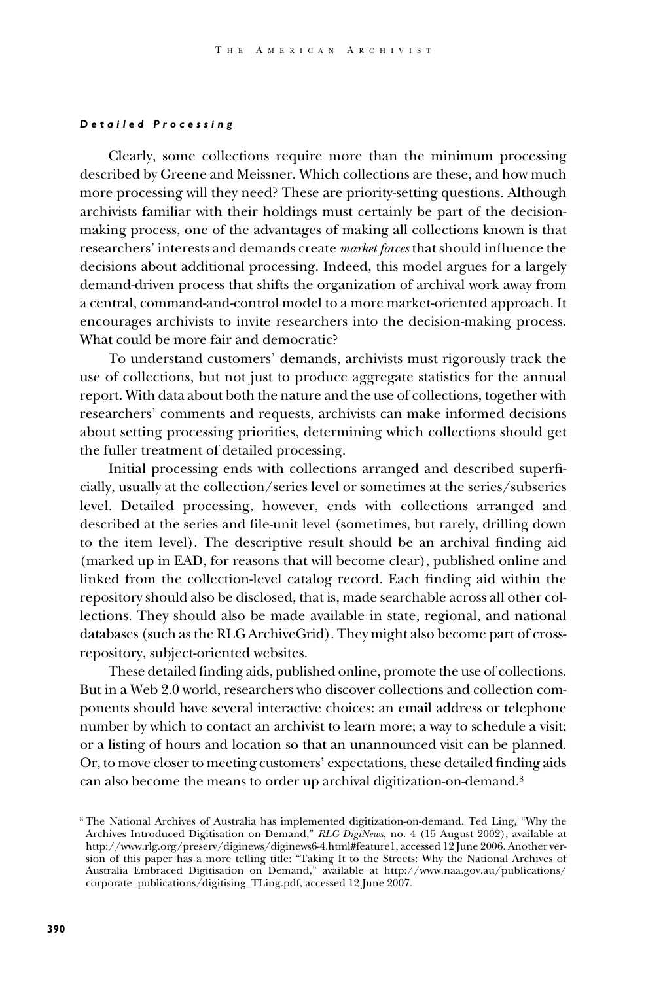#### *Detailed Processing*

Clearly, some collections require more than the minimum processing described by Greene and Meissner. Which collections are these, and how much more processing will they need? These are priority-setting questions. Although archivists familiar with their holdings must certainly be part of the decisionmaking process, one of the advantages of making all collections known is that researchers' interests and demands create *market forces* that should influence the decisions about additional processing. Indeed, this model argues for a largely demand-driven process that shifts the organization of archival work away from a central, command-and-control model to a more market-oriented approach. It encourages archivists to invite researchers into the decision-making process. What could be more fair and democratic?

To understand customers' demands, archivists must rigorously track the use of collections, but not just to produce aggregate statistics for the annual report. With data about both the nature and the use of collections, together with researchers' comments and requests, archivists can make informed decisions about setting processing priorities, determining which collections should get the fuller treatment of detailed processing.

Initial processing ends with collections arranged and described superficially, usually at the collection/series level or sometimes at the series/subseries level. Detailed processing, however, ends with collections arranged and described at the series and file-unit level (sometimes, but rarely, drilling down to the item level). The descriptive result should be an archival finding aid (marked up in EAD, for reasons that will become clear), published online and linked from the collection-level catalog record. Each finding aid within the repository should also be disclosed, that is, made searchable across all other collections. They should also be made available in state, regional, and national databases (such as the RLG ArchiveGrid). They might also become part of crossrepository, subject-oriented websites.

These detailed finding aids, published online, promote the use of collections. But in a Web 2.0 world, researchers who discover collections and collection components should have several interactive choices: an email address or telephone number by which to contact an archivist to learn more; a way to schedule a visit; or a listing of hours and location so that an unannounced visit can be planned. Or, to move closer to meeting customers' expectations, these detailed finding aids can also become the means to order up archival digitization-on-demand.8

<sup>8</sup> The National Archives of Australia has implemented digitization-on-demand. Ted Ling, "Why the Archives Introduced Digitisation on Demand," *RLG DigiNews*, no. 4 (15 August 2002), available at http://www.rlg.org/preserv/diginews/diginews6-4.html#feature1, accessed 12 June 2006. Another version of this paper has a more telling title: "Taking It to the Streets: Why the National Archives of Australia Embraced Digitisation on Demand," available at http://www.naa.gov.au/publications/ corporate\_publications/digitising\_TLing.pdf, accessed 12 June 2007.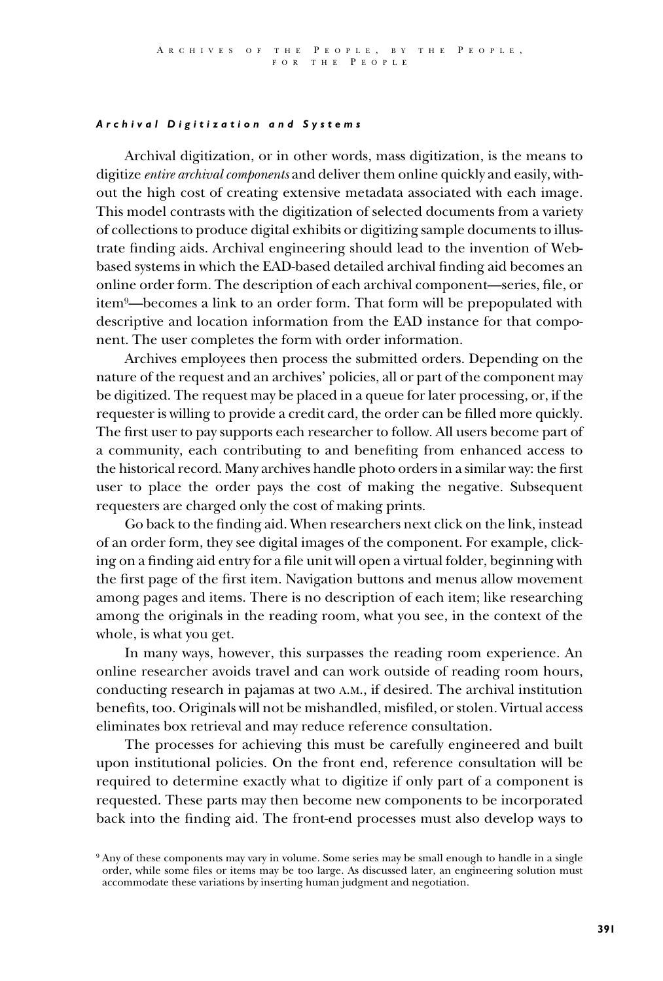## *Archival Digitization and Systems*

Archival digitization, or in other words, mass digitization, is the means to digitize *entire archival components* and deliver them online quickly and easily, without the high cost of creating extensive metadata associated with each image. This model contrasts with the digitization of selected documents from a variety of collections to produce digital exhibits or digitizing sample documents to illustrate finding aids. Archival engineering should lead to the invention of Webbased systems in which the EAD-based detailed archival finding aid becomes an online order form. The description of each archival component—series, file, or item9—becomes a link to an order form. That form will be prepopulated with descriptive and location information from the EAD instance for that component. The user completes the form with order information.

Archives employees then process the submitted orders. Depending on the nature of the request and an archives' policies, all or part of the component may be digitized. The request may be placed in a queue for later processing, or, if the requester is willing to provide a credit card, the order can be filled more quickly. The first user to pay supports each researcher to follow. All users become part of a community, each contributing to and benefiting from enhanced access to the historical record. Many archives handle photo orders in a similar way: the first user to place the order pays the cost of making the negative. Subsequent requesters are charged only the cost of making prints.

Go back to the finding aid. When researchers next click on the link, instead of an order form, they see digital images of the component. For example, clicking on a finding aid entry for a file unit will open a virtual folder, beginning with the first page of the first item. Navigation buttons and menus allow movement among pages and items. There is no description of each item; like researching among the originals in the reading room, what you see, in the context of the whole, is what you get.

In many ways, however, this surpasses the reading room experience. An online researcher avoids travel and can work outside of reading room hours, conducting research in pajamas at two A.M., if desired. The archival institution benefits, too. Originals will not be mishandled, misfiled, or stolen. Virtual access eliminates box retrieval and may reduce reference consultation.

The processes for achieving this must be carefully engineered and built upon institutional policies. On the front end, reference consultation will be required to determine exactly what to digitize if only part of a component is requested. These parts may then become new components to be incorporated back into the finding aid. The front-end processes must also develop ways to

<sup>9</sup> Any of these components may vary in volume. Some series may be small enough to handle in a single order, while some files or items may be too large. As discussed later, an engineering solution must accommodate these variations by inserting human judgment and negotiation.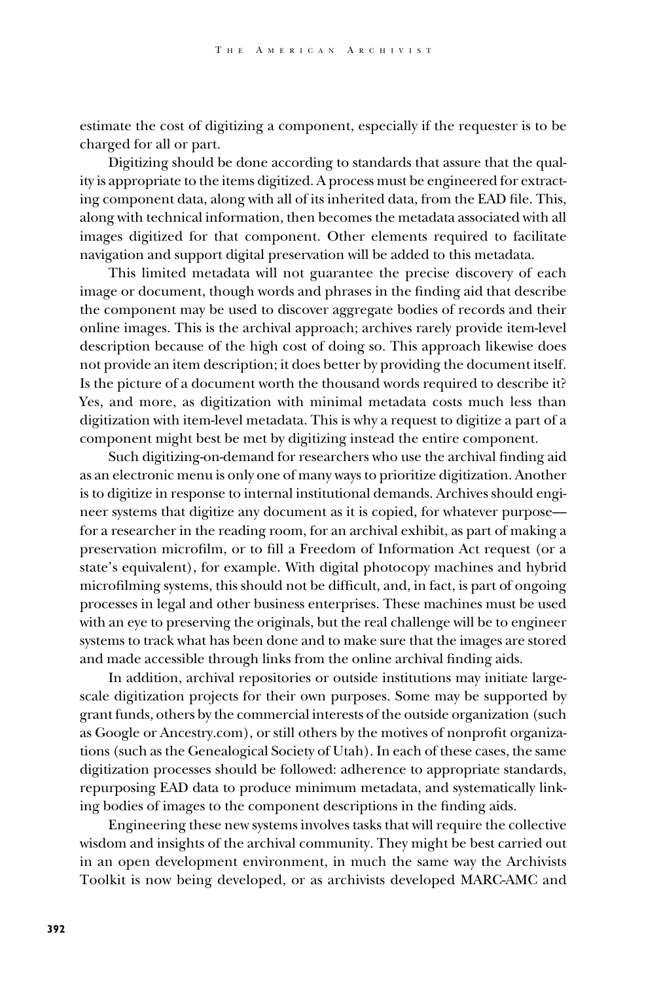estimate the cost of digitizing a component, especially if the requester is to be charged for all or part.

Digitizing should be done according to standards that assure that the quality is appropriate to the items digitized. A process must be engineered for extracting component data, along with all of its inherited data, from the EAD file. This, along with technical information, then becomes the metadata associated with all images digitized for that component. Other elements required to facilitate navigation and support digital preservation will be added to this metadata.

This limited metadata will not guarantee the precise discovery of each image or document, though words and phrases in the finding aid that describe the component may be used to discover aggregate bodies of records and their online images. This is the archival approach; archives rarely provide item-level description because of the high cost of doing so. This approach likewise does not provide an item description; it does better by providing the document itself. Is the picture of a document worth the thousand words required to describe it? Yes, and more, as digitization with minimal metadata costs much less than digitization with item-level metadata. This is why a request to digitize a part of a component might best be met by digitizing instead the entire component.

Such digitizing-on-demand for researchers who use the archival finding aid as an electronic menu is only one of many ways to prioritize digitization. Another is to digitize in response to internal institutional demands. Archives should engineer systems that digitize any document as it is copied, for whatever purpose for a researcher in the reading room, for an archival exhibit, as part of making a preservation microfilm, or to fill a Freedom of Information Act request (or a state's equivalent), for example. With digital photocopy machines and hybrid microfilming systems, this should not be difficult, and, in fact, is part of ongoing processes in legal and other business enterprises. These machines must be used with an eye to preserving the originals, but the real challenge will be to engineer systems to track what has been done and to make sure that the images are stored and made accessible through links from the online archival finding aids.

In addition, archival repositories or outside institutions may initiate largescale digitization projects for their own purposes. Some may be supported by grant funds, others by the commercial interests of the outside organization (such as Google or Ancestry.com), or still others by the motives of nonprofit organizations (such as the Genealogical Society of Utah). In each of these cases, the same digitization processes should be followed: adherence to appropriate standards, repurposing EAD data to produce minimum metadata, and systematically linking bodies of images to the component descriptions in the finding aids.

Engineering these new systems involves tasks that will require the collective wisdom and insights of the archival community. They might be best carried out in an open development environment, in much the same way the Archivists Toolkit is now being developed, or as archivists developed MARC-AMC and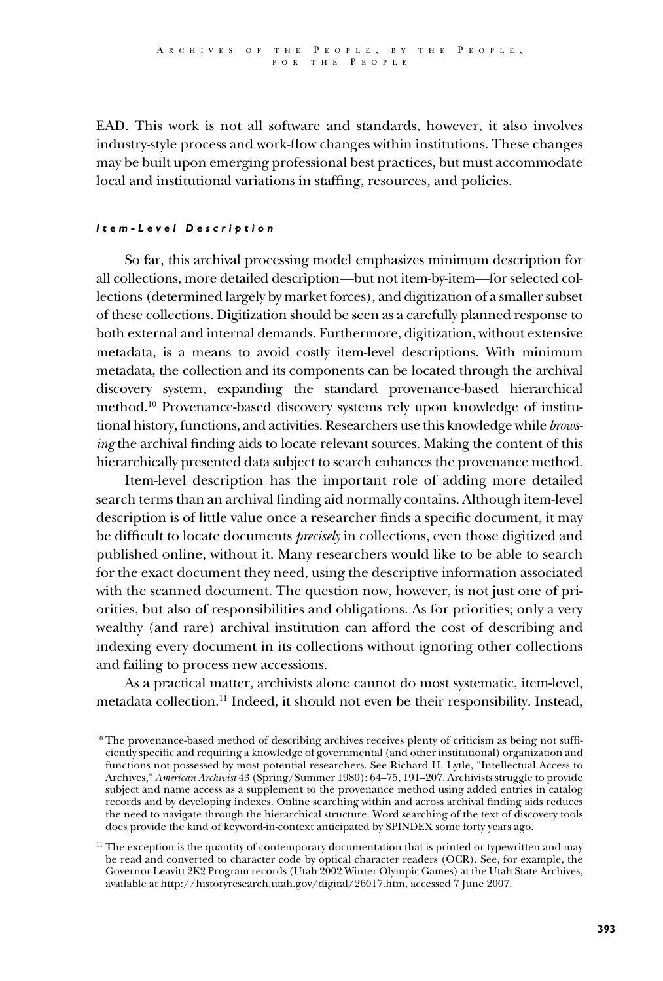EAD. This work is not all software and standards, however, it also involves industry-style process and work-flow changes within institutions. These changes may be built upon emerging professional best practices, but must accommodate local and institutional variations in staffing, resources, and policies.

# *Item-Level Description*

So far, this archival processing model emphasizes minimum description for all collections, more detailed description—but not item-by-item—for selected collections (determined largely by market forces), and digitization of a smaller subset of these collections. Digitization should be seen as a carefully planned response to both external and internal demands. Furthermore, digitization, without extensive metadata, is a means to avoid costly item-level descriptions. With minimum metadata, the collection and its components can be located through the archival discovery system, expanding the standard provenance-based hierarchical method.10 Provenance-based discovery systems rely upon knowledge of institutional history, functions, and activities. Researchers use this knowledge while *browsing* the archival finding aids to locate relevant sources. Making the content of this hierarchically presented data subject to search enhances the provenance method.

Item-level description has the important role of adding more detailed search terms than an archival finding aid normally contains. Although item-level description is of little value once a researcher finds a specific document, it may be difficult to locate documents *precisely* in collections, even those digitized and published online, without it. Many researchers would like to be able to search for the exact document they need, using the descriptive information associated with the scanned document. The question now, however, is not just one of priorities, but also of responsibilities and obligations. As for priorities; only a very wealthy (and rare) archival institution can afford the cost of describing and indexing every document in its collections without ignoring other collections and failing to process new accessions.

As a practical matter, archivists alone cannot do most systematic, item-level, metadata collection.11 Indeed, it should not even be their responsibility. Instead,

 $10$  The provenance-based method of describing archives receives plenty of criticism as being not sufficiently specific and requiring a knowledge of governmental (and other institutional) organization and functions not possessed by most potential researchers. See Richard H. Lytle, "Intellectual Access to Archives," *American Archivist* 43 (Spring/Summer 1980): 64–75, 191–207. Archivists struggle to provide subject and name access as a supplement to the provenance method using added entries in catalog records and by developing indexes. Online searching within and across archival finding aids reduces the need to navigate through the hierarchical structure. Word searching of the text of discovery tools does provide the kind of keyword-in-context anticipated by SPINDEX some forty years ago.

 $11$  The exception is the quantity of contemporary documentation that is printed or typewritten and may be read and converted to character code by optical character readers (OCR). See, for example, the Governor Leavitt 2K2 Program records (Utah 2002 Winter Olympic Games) at the Utah State Archives, available at http://historyresearch.utah.gov/digital/26017.htm, accessed 7 June 2007.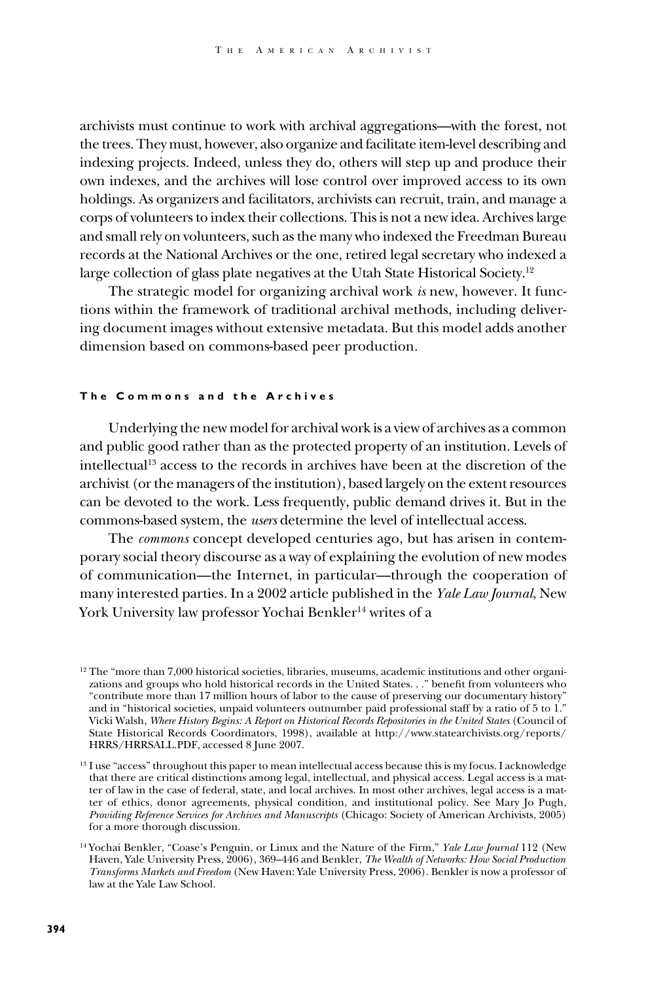archivists must continue to work with archival aggregations—with the forest, not the trees. They must, however, also organize and facilitate item-level describing and indexing projects. Indeed, unless they do, others will step up and produce their own indexes, and the archives will lose control over improved access to its own holdings. As organizers and facilitators, archivists can recruit, train, and manage a corps of volunteers to index their collections. This is not a new idea. Archives large and small rely on volunteers, such as the many who indexed the Freedman Bureau records at the National Archives or the one, retired legal secretary who indexed a large collection of glass plate negatives at the Utah State Historical Society.<sup>12</sup>

The strategic model for organizing archival work *is* new, however. It functions within the framework of traditional archival methods, including delivering document images without extensive metadata. But this model adds another dimension based on commons-based peer production.

## **The Commons and the Archives**

Underlying the new model for archival work is a view of archives as a common and public good rather than as the protected property of an institution. Levels of intellectual13 access to the records in archives have been at the discretion of the archivist (or the managers of the institution), based largely on the extent resources can be devoted to the work. Less frequently, public demand drives it. But in the commons-based system, the *users* determine the level of intellectual access.

The *commons* concept developed centuries ago, but has arisen in contemporary social theory discourse as a way of explaining the evolution of new modes of communication—the Internet, in particular—through the cooperation of many interested parties. In a 2002 article published in the *Yale Law Journal*, New York University law professor Yochai Benkler<sup>14</sup> writes of a

<sup>&</sup>lt;sup>12</sup> The "more than 7,000 historical societies, libraries, museums, academic institutions and other organizations and groups who hold historical records in the United States. . ." benefit from volunteers who "contribute more than 17 million hours of labor to the cause of preserving our documentary history" and in "historical societies, unpaid volunteers outnumber paid professional staff by a ratio of 5 to 1." Vicki Walsh, *Where History Begins: A Report on Historical Records Repositories in the United States* (Council of State Historical Records Coordinators, 1998), available at http://www.statearchivists.org/reports/ HRRS/HRRSALL.PDF, accessed 8 June 2007.

<sup>&</sup>lt;sup>13</sup> I use "access" throughout this paper to mean intellectual access because this is my focus. I acknowledge that there are critical distinctions among legal, intellectual, and physical access. Legal access is a matter of law in the case of federal, state, and local archives. In most other archives, legal access is a matter of ethics, donor agreements, physical condition, and institutional policy. See Mary Jo Pugh, *Providing Reference Services for Archives and Manuscripts* (Chicago: Society of American Archivists, 2005) for a more thorough discussion.

<sup>14</sup> Yochai Benkler, "Coase's Penguin, or Linux and the Nature of the Firm," *Yale Law Journal* 112 (New Haven, Yale University Press, 2006), 369–446 and Benkler, *The Wealth of Networks: How Social Production Transforms Markets and Freedom* (New Haven: Yale University Press, 2006). Benkler is now a professor of law at the Yale Law School.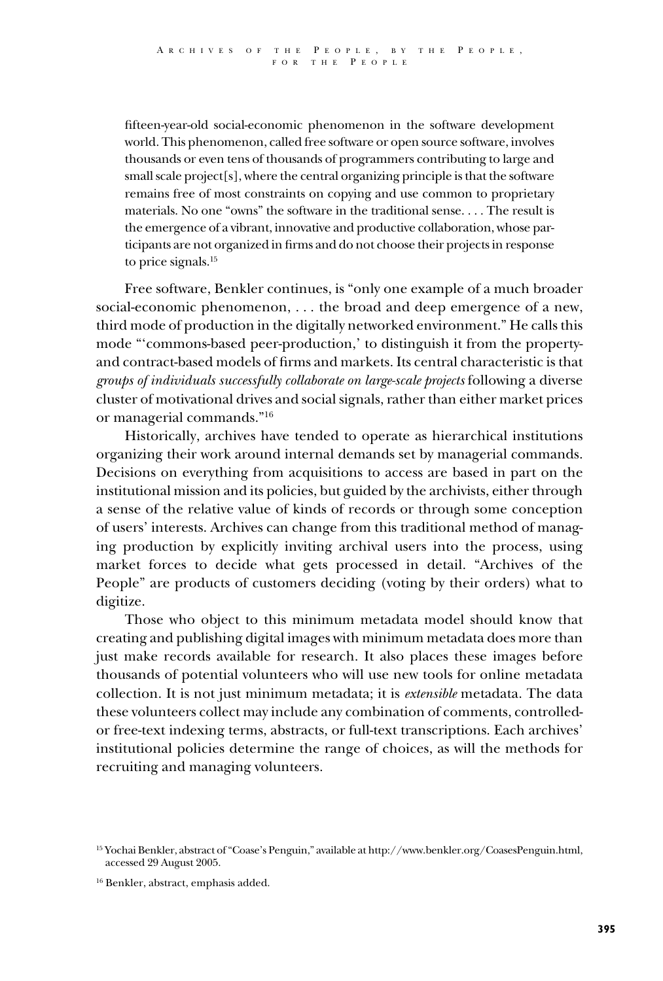fifteen-year-old social-economic phenomenon in the software development world. This phenomenon, called free software or open source software, involves thousands or even tens of thousands of programmers contributing to large and small scale project[s], where the central organizing principle is that the software remains free of most constraints on copying and use common to proprietary materials. No one "owns" the software in the traditional sense. . . . The result is the emergence of a vibrant, innovative and productive collaboration, whose participants are not organized in firms and do not choose their projects in response to price signals.15

Free software, Benkler continues, is "only one example of a much broader social-economic phenomenon, . . . the broad and deep emergence of a new, third mode of production in the digitally networked environment." He calls this mode "'commons-based peer-production,' to distinguish it from the propertyand contract-based models of firms and markets. Its central characteristic is that *groups of individuals successfully collaborate on large-scale projects* following a diverse cluster of motivational drives and social signals, rather than either market prices or managerial commands."16

Historically, archives have tended to operate as hierarchical institutions organizing their work around internal demands set by managerial commands. Decisions on everything from acquisitions to access are based in part on the institutional mission and its policies, but guided by the archivists, either through a sense of the relative value of kinds of records or through some conception of users' interests. Archives can change from this traditional method of managing production by explicitly inviting archival users into the process, using market forces to decide what gets processed in detail. "Archives of the People" are products of customers deciding (voting by their orders) what to digitize.

Those who object to this minimum metadata model should know that creating and publishing digital images with minimum metadata does more than just make records available for research. It also places these images before thousands of potential volunteers who will use new tools for online metadata collection. It is not just minimum metadata; it is *extensible* metadata. The data these volunteers collect may include any combination of comments, controlledor free-text indexing terms, abstracts, or full-text transcriptions. Each archives' institutional policies determine the range of choices, as will the methods for recruiting and managing volunteers.

<sup>15</sup> Yochai Benkler, abstract of "Coase's Penguin," available at http://www.benkler.org/CoasesPenguin.html, accessed 29 August 2005.

<sup>16</sup> Benkler, abstract, emphasis added.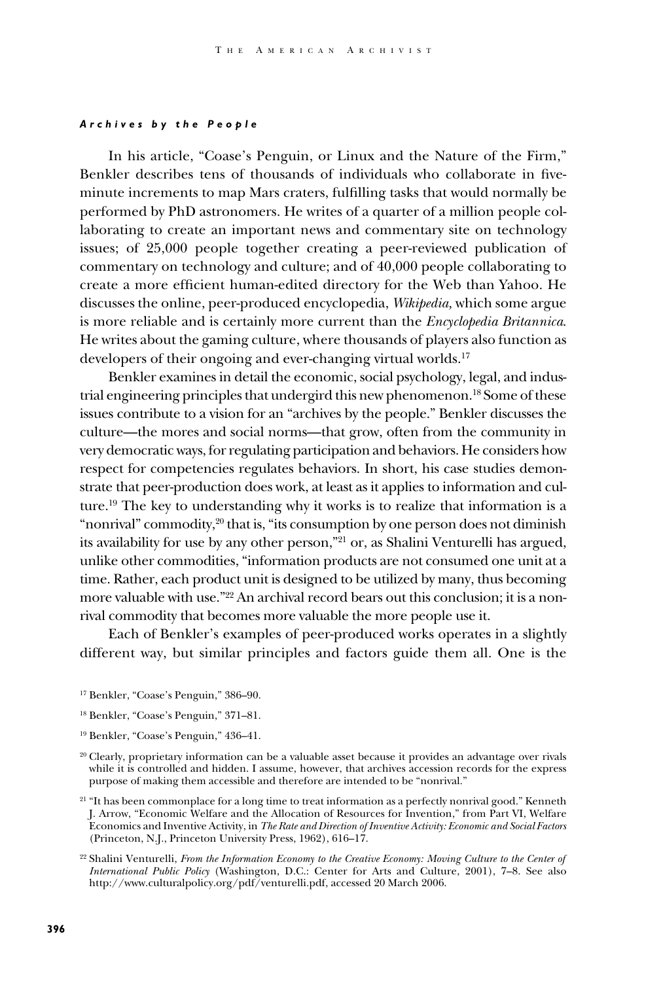#### *Archives by the People*

In his article, "Coase's Penguin, or Linux and the Nature of the Firm," Benkler describes tens of thousands of individuals who collaborate in fiveminute increments to map Mars craters, fulfilling tasks that would normally be performed by PhD astronomers. He writes of a quarter of a million people collaborating to create an important news and commentary site on technology issues; of 25,000 people together creating a peer-reviewed publication of commentary on technology and culture; and of 40,000 people collaborating to create a more efficient human-edited directory for the Web than Yahoo. He discusses the online, peer-produced encyclopedia, *Wikipedia,* which some argue is more reliable and is certainly more current than the *Encyclopedia Britannica*. He writes about the gaming culture, where thousands of players also function as developers of their ongoing and ever-changing virtual worlds.<sup>17</sup>

Benkler examines in detail the economic, social psychology, legal, and industrial engineering principles that undergird this new phenomenon.<sup>18</sup> Some of these issues contribute to a vision for an "archives by the people." Benkler discusses the culture—the mores and social norms—that grow, often from the community in very democratic ways, for regulating participation and behaviors. He considers how respect for competencies regulates behaviors. In short, his case studies demonstrate that peer-production does work, at least as it applies to information and culture.19 The key to understanding why it works is to realize that information is a "nonrival" commodity,<sup>20</sup> that is, "its consumption by one person does not diminish its availability for use by any other person,"21 or, as Shalini Venturelli has argued, unlike other commodities, "information products are not consumed one unit at a time. Rather, each product unit is designed to be utilized by many, thus becoming more valuable with use."<sup>22</sup> An archival record bears out this conclusion; it is a nonrival commodity that becomes more valuable the more people use it.

Each of Benkler's examples of peer-produced works operates in a slightly different way, but similar principles and factors guide them all. One is the

<sup>17</sup> Benkler, "Coase's Penguin," 386–90.

<sup>18</sup> Benkler, "Coase's Penguin," 371–81.

<sup>19</sup> Benkler, "Coase's Penguin," 436–41.

<sup>&</sup>lt;sup>20</sup> Clearly, proprietary information can be a valuable asset because it provides an advantage over rivals while it is controlled and hidden. I assume, however, that archives accession records for the express purpose of making them accessible and therefore are intended to be "nonrival."

<sup>&</sup>lt;sup>21</sup> "It has been commonplace for a long time to treat information as a perfectly nonrival good." Kenneth J. Arrow, "Economic Welfare and the Allocation of Resources for Invention," from Part VI, Welfare Economics and Inventive Activity, in *The Rate and Direction of Inventive Activity: Economic and Social Factors* (Princeton, N.J., Princeton University Press, 1962), 616–17.

<sup>22</sup> Shalini Venturelli, *From the Information Economy to the Creative Economy: Moving Culture to the Center of International Public Policy* (Washington, D.C.: Center for Arts and Culture, 2001), 7–8. See also http://www.culturalpolicy.org/pdf/venturelli.pdf, accessed 20 March 2006.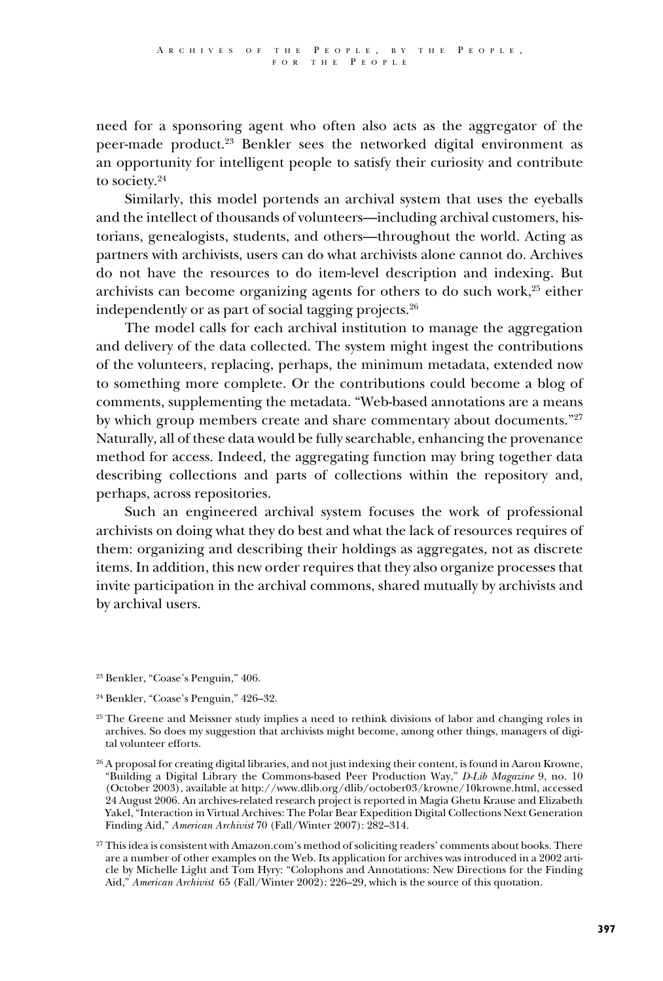need for a sponsoring agent who often also acts as the aggregator of the peer-made product.23 Benkler sees the networked digital environment as an opportunity for intelligent people to satisfy their curiosity and contribute to society.<sup>24</sup>

Similarly, this model portends an archival system that uses the eyeballs and the intellect of thousands of volunteers—including archival customers, historians, genealogists, students, and others—throughout the world. Acting as partners with archivists, users can do what archivists alone cannot do. Archives do not have the resources to do item-level description and indexing. But archivists can become organizing agents for others to do such work,25 either independently or as part of social tagging projects.26

The model calls for each archival institution to manage the aggregation and delivery of the data collected. The system might ingest the contributions of the volunteers, replacing, perhaps, the minimum metadata, extended now to something more complete. Or the contributions could become a blog of comments, supplementing the metadata. "Web-based annotations are a means by which group members create and share commentary about documents."<sup>27</sup> Naturally, all of these data would be fully searchable, enhancing the provenance method for access. Indeed, the aggregating function may bring together data describing collections and parts of collections within the repository and, perhaps, across repositories.

Such an engineered archival system focuses the work of professional archivists on doing what they do best and what the lack of resources requires of them: organizing and describing their holdings as aggregates, not as discrete items. In addition, this new order requires that they also organize processes that invite participation in the archival commons, shared mutually by archivists and by archival users.

<sup>23</sup> Benkler, "Coase's Penguin," 406.

<sup>24</sup> Benkler, "Coase's Penguin," 426–32.

<sup>&</sup>lt;sup>25</sup> The Greene and Meissner study implies a need to rethink divisions of labor and changing roles in archives. So does my suggestion that archivists might become, among other things, managers of digital volunteer efforts.

<sup>26</sup> A proposal for creating digital libraries, and not just indexing their content, is found in Aaron Krowne, "Building a Digital Library the Commons-based Peer Production Way," *D-Lib Magazine* 9, no. 10 (October 2003), available at http://www.dlib.org/dlib/october03/krowne/10krowne.html, accessed 24 August 2006. An archives-related research project is reported in Magia Ghetu Krause and Elizabeth Yakel, "Interaction in Virtual Archives: The Polar Bear Expedition Digital Collections Next Generation Finding Aid," *American Archivist* 70 (Fall/Winter 2007): 282–314.

<sup>&</sup>lt;sup>27</sup> This idea is consistent with Amazon.com's method of soliciting readers' comments about books. There are a number of other examples on the Web. Its application for archives was introduced in a 2002 article by Michelle Light and Tom Hyry: "Colophons and Annotations: New Directions for the Finding Aid," *American Archivist* 65 (Fall/Winter 2002): 226–29, which is the source of this quotation.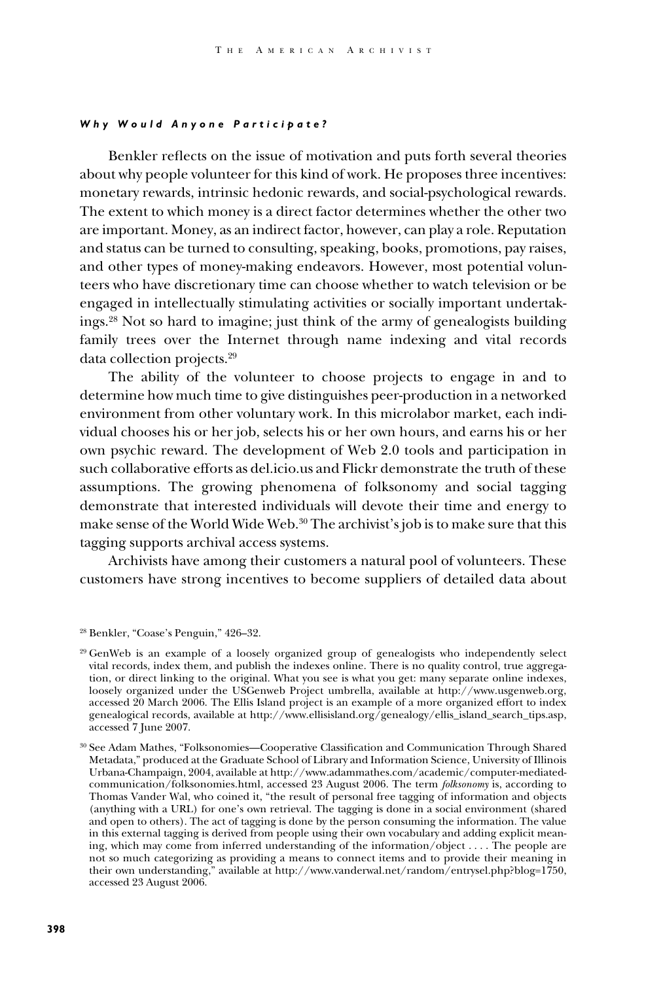#### *Why Would Anyone Participate?*

Benkler reflects on the issue of motivation and puts forth several theories about why people volunteer for this kind of work. He proposes three incentives: monetary rewards, intrinsic hedonic rewards, and social-psychological rewards. The extent to which money is a direct factor determines whether the other two are important. Money, as an indirect factor, however, can play a role. Reputation and status can be turned to consulting, speaking, books, promotions, pay raises, and other types of money-making endeavors. However, most potential volunteers who have discretionary time can choose whether to watch television or be engaged in intellectually stimulating activities or socially important undertakings.28 Not so hard to imagine; just think of the army of genealogists building family trees over the Internet through name indexing and vital records data collection projects.29

The ability of the volunteer to choose projects to engage in and to determine how much time to give distinguishes peer-production in a networked environment from other voluntary work. In this microlabor market, each individual chooses his or her job, selects his or her own hours, and earns his or her own psychic reward. The development of Web 2.0 tools and participation in such collaborative efforts as del.icio.us and Flickr demonstrate the truth of these assumptions. The growing phenomena of folksonomy and social tagging demonstrate that interested individuals will devote their time and energy to make sense of the World Wide Web.<sup>30</sup> The archivist's job is to make sure that this tagging supports archival access systems.

Archivists have among their customers a natural pool of volunteers. These customers have strong incentives to become suppliers of detailed data about

<sup>28</sup> Benkler, "Coase's Penguin," 426–32.

<sup>29</sup> GenWeb is an example of a loosely organized group of genealogists who independently select vital records, index them, and publish the indexes online. There is no quality control, true aggregation, or direct linking to the original. What you see is what you get: many separate online indexes, loosely organized under the USGenweb Project umbrella, available at http://www.usgenweb.org, accessed 20 March 2006. The Ellis Island project is an example of a more organized effort to index genealogical records, available at http://www.ellisisland.org/genealogy/ellis\_island\_search\_tips.asp, accessed 7 June 2007.

<sup>30</sup> See Adam Mathes, "Folksonomies—Cooperative Classification and Communication Through Shared Metadata," produced at the Graduate School of Library and Information Science, University of Illinois Urbana-Champaign, 2004, available at http://www.adammathes.com/academic/computer-mediatedcommunication/folksonomies.html, accessed 23 August 2006. The term *folksonomy* is, according to Thomas Vander Wal, who coined it, "the result of personal free tagging of information and objects (anything with a URL) for one's own retrieval. The tagging is done in a social environment (shared and open to others). The act of tagging is done by the person consuming the information. The value in this external tagging is derived from people using their own vocabulary and adding explicit meaning, which may come from inferred understanding of the information/object . . . . The people are not so much categorizing as providing a means to connect items and to provide their meaning in their own understanding," available at http://www.vanderwal.net/random/entrysel.php?blog=1750, accessed 23 August 2006.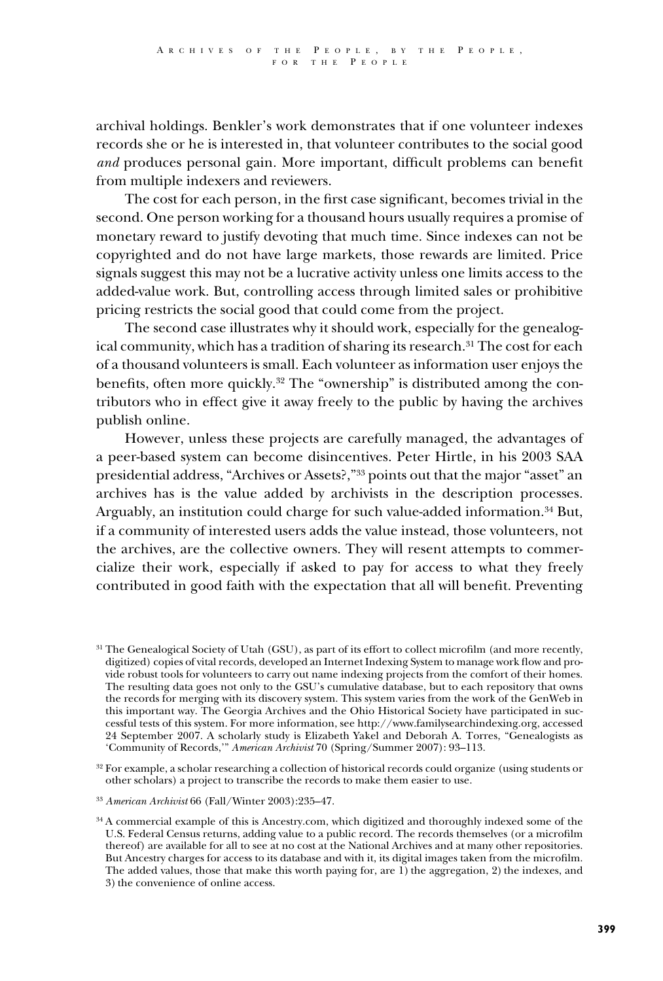archival holdings. Benkler's work demonstrates that if one volunteer indexes records she or he is interested in, that volunteer contributes to the social good *and* produces personal gain. More important, difficult problems can benefit from multiple indexers and reviewers.

The cost for each person, in the first case significant, becomes trivial in the second. One person working for a thousand hours usually requires a promise of monetary reward to justify devoting that much time. Since indexes can not be copyrighted and do not have large markets, those rewards are limited. Price signals suggest this may not be a lucrative activity unless one limits access to the added-value work. But, controlling access through limited sales or prohibitive pricing restricts the social good that could come from the project.

The second case illustrates why it should work, especially for the genealogical community, which has a tradition of sharing its research.<sup>31</sup> The cost for each of a thousand volunteers is small. Each volunteer as information user enjoys the benefits, often more quickly.32 The "ownership" is distributed among the contributors who in effect give it away freely to the public by having the archives publish online.

However, unless these projects are carefully managed, the advantages of a peer-based system can become disincentives. Peter Hirtle, in his 2003 SAA presidential address, "Archives or Assets?,"33 points out that the major "asset" an archives has is the value added by archivists in the description processes. Arguably, an institution could charge for such value-added information.34 But, if a community of interested users adds the value instead, those volunteers, not the archives, are the collective owners. They will resent attempts to commercialize their work, especially if asked to pay for access to what they freely contributed in good faith with the expectation that all will benefit. Preventing

<sup>32</sup> For example, a scholar researching a collection of historical records could organize (using students or other scholars) a project to transcribe the records to make them easier to use.

<sup>&</sup>lt;sup>31</sup> The Genealogical Society of Utah (GSU), as part of its effort to collect microfilm (and more recently, digitized) copies of vital records, developed an Internet Indexing System to manage work flow and provide robust tools for volunteers to carry out name indexing projects from the comfort of their homes. The resulting data goes not only to the GSU's cumulative database, but to each repository that owns the records for merging with its discovery system. This system varies from the work of the GenWeb in this important way. The Georgia Archives and the Ohio Historical Society have participated in successful tests of this system. For more information, see http://www.familysearchindexing.org, accessed 24 September 2007. A scholarly study is Elizabeth Yakel and Deborah A. Torres, "Genealogists as 'Community of Records,'" *American Archivist* 70 (Spring/Summer 2007): 93–113.

<sup>33</sup> *American Archivist* 66 (Fall/Winter 2003):235–47.

<sup>&</sup>lt;sup>34</sup> A commercial example of this is Ancestry.com, which digitized and thoroughly indexed some of the U.S. Federal Census returns, adding value to a public record. The records themselves (or a microfilm thereof) are available for all to see at no cost at the National Archives and at many other repositories. But Ancestry charges for access to its database and with it, its digital images taken from the microfilm. The added values, those that make this worth paying for, are 1) the aggregation, 2) the indexes, and 3) the convenience of online access.